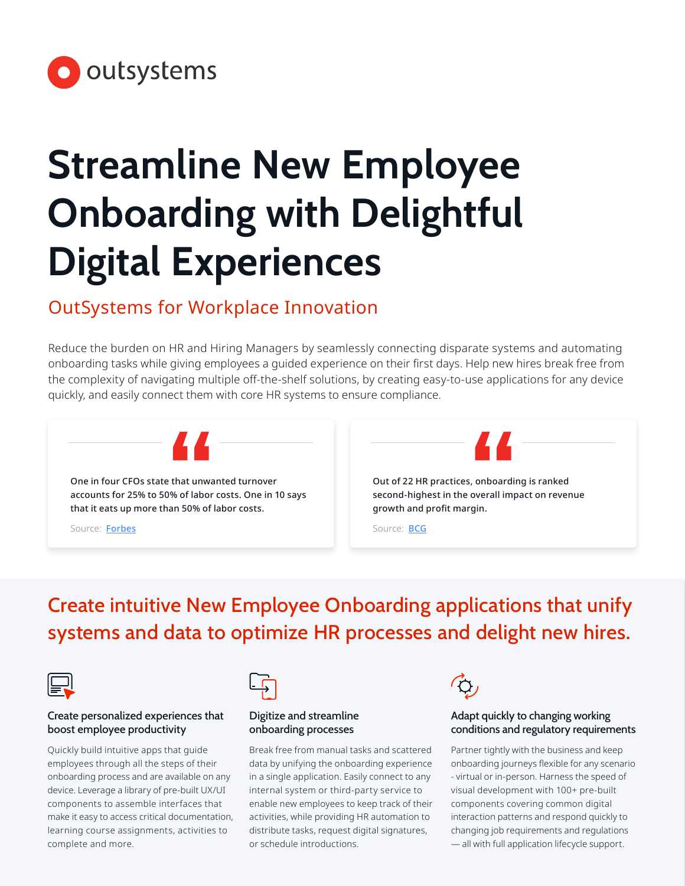

# **Streamline New Employee Onboarding with Delightful Digital Experiences**

# OutSystems for Workplace Innovation

Reduce the burden on HR and Hiring Managers by seamlessly connecting disparate systems and automating onboarding tasks while giving employees a guided experience on their first days. Help new hires break free from the complexity of navigating multiple off-the-shelf solutions, by creating easy-to-use applications for any device quickly, and easily connect them with core HR systems to ensure compliance.



# Create intuitive New Employee Onboarding applications that unify systems and data to optimize HR processes and delight new hires.



#### Create personalized experiences that boost employee productivity

Quickly build intuitive apps that guide employees through all the steps of their onboarding process and are available on any device. Leverage a library of pre-built UX/UI components to assemble interfaces that make it easy to access critical documentation, learning course assignments, activities to complete and more.



#### Digitize and streamline onboarding processes

Break free from manual tasks and scattered data by unifying the onboarding experience in a single application. Easily connect to any internal system or third-party service to enable new employees to keep track of their activities, while providing HR automation to distribute tasks, request digital signatures, or schedule introductions.



#### Adapt quickly to changing working conditions and regulatory requirements

Partner tightly with the business and keep onboarding journeys flexible for any scenario - virtual or in-person. Harness the speed of visual development with 100+ pre-built components covering common digital interaction patterns and respond quickly to changing job requirements and regulations — all with full application lifecycle support.